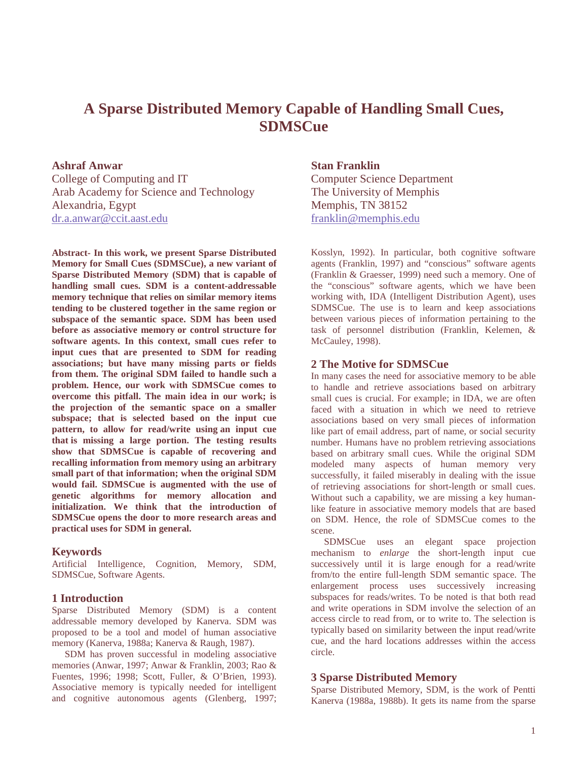# **A Sparse Distributed Memory Capable of Handling Small Cues, SDMSCue**

# **Ashraf Anwar Stan Franklin Stan Franklin**

College of Computing and IT Computer Science Department Arab Academy for Science and Technology The University of Memphis Alexandria, Egypt Memphis, TN 38152 dr.a.anwar@ccit.aast.edu franklin@memphis.edu

**Abstract- In this work, we present Sparse Distributed Memory for Small Cues (SDMSCue), a new variant of Sparse Distributed Memory (SDM) that is capable of handling small cues. SDM is a content-addressable memory technique that relies on similar memory items tending to be clustered together in the same region or subspace of the semantic space. SDM has been used before as associative memory or control structure for software agents. In this context, small cues refer to input cues that are presented to SDM for reading associations; but have many missing parts or fields from them. The original SDM failed to handle such a problem. Hence, our work with SDMSCue comes to overcome this pitfall. The main idea in our work; is the projection of the semantic space on a smaller subspace; that is selected based on the input cue pattern, to allow for read/write using an input cue that is missing a large portion. The testing results show that SDMSCue is capable of recovering and recalling information from memory using an arbitrary small part of that information; when the original SDM would fail. SDMSCue is augmented with the use of genetic algorithms for memory allocation and initialization. We think that the introduction of SDMSCue opens the door to more research areas and practical uses for SDM in general.** 

### **Keywords**

Artificial Intelligence, Cognition, Memory, SDM, SDMSCue, Software Agents.

#### **1 Introduction**

Sparse Distributed Memory (SDM) is a content addressable memory developed by Kanerva. SDM was proposed to be a tool and model of human associative memory (Kanerva, 1988a; Kanerva & Raugh, 1987).

SDM has proven successful in modeling associative memories (Anwar, 1997; Anwar & Franklin, 2003; Rao & Fuentes, 1996; 1998; Scott, Fuller, & O'Brien, 1993). Associative memory is typically needed for intelligent and cognitive autonomous agents (Glenberg, 1997;

Kosslyn, 1992). In particular, both cognitive software agents (Franklin, 1997) and "conscious" software agents (Franklin & Graesser, 1999) need such a memory. One of the "conscious" software agents, which we have been working with, IDA (Intelligent Distribution Agent), uses SDMSCue. The use is to learn and keep associations between various pieces of information pertaining to the task of personnel distribution (Franklin, Kelemen, & McCauley, 1998).

#### **2 The Motive for SDMSCue**

In many cases the need for associative memory to be able to handle and retrieve associations based on arbitrary small cues is crucial. For example; in IDA, we are often faced with a situation in which we need to retrieve associations based on very small pieces of information like part of email address, part of name, or social security number. Humans have no problem retrieving associations based on arbitrary small cues. While the original SDM modeled many aspects of human memory very successfully, it failed miserably in dealing with the issue of retrieving associations for short-length or small cues. Without such a capability, we are missing a key humanlike feature in associative memory models that are based on SDM. Hence, the role of SDMSCue comes to the scene.

SDMSCue uses an elegant space projection mechanism to *enlarge* the short-length input cue successively until it is large enough for a read/write from/to the entire full-length SDM semantic space. The enlargement process uses successively increasing subspaces for reads/writes. To be noted is that both read and write operations in SDM involve the selection of an access circle to read from, or to write to. The selection is typically based on similarity between the input read/write cue, and the hard locations addresses within the access circle.

#### **3 Sparse Distributed Memory**

Sparse Distributed Memory, SDM, is the work of Pentti Kanerva (1988a, 1988b). It gets its name from the sparse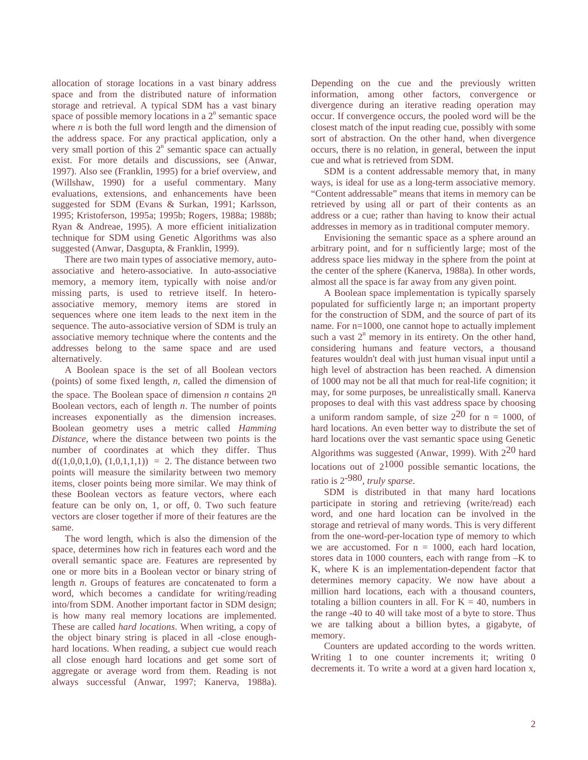allocation of storage locations in a vast binary address space and from the distributed nature of information storage and retrieval. A typical SDM has a vast binary space of possible memory locations in a  $2<sup>n</sup>$  semantic space where *n* is both the full word length and the dimension of the address space. For any practical application, only a very small portion of this  $2<sup>n</sup>$  semantic space can actually exist. For more details and discussions, see (Anwar, 1997). Also see (Franklin, 1995) for a brief overview, and (Willshaw, 1990) for a useful commentary. Many evaluations, extensions, and enhancements have been suggested for SDM (Evans & Surkan, 1991; Karlsson, 1995; Kristoferson, 1995a; 1995b; Rogers, 1988a; 1988b; Ryan & Andreae, 1995). A more efficient initialization technique for SDM using Genetic Algorithms was also suggested (Anwar, Dasgupta, & Franklin, 1999).

There are two main types of associative memory, autoassociative and hetero-associative. In auto-associative memory, a memory item, typically with noise and/or missing parts, is used to retrieve itself. In heteroassociative memory, memory items are stored in sequences where one item leads to the next item in the sequence. The auto-associative version of SDM is truly an associative memory technique where the contents and the addresses belong to the same space and are used alternatively.

A Boolean space is the set of all Boolean vectors (points) of some fixed length, *n*, called the dimension of the space. The Boolean space of dimension  $n$  contains  $2^n$ Boolean vectors, each of length *n*. The number of points increases exponentially as the dimension increases. Boolean geometry uses a metric called *Hamming Distance,* where the distance between two points is the number of coordinates at which they differ. Thus  $d((1,0,0,1,0), (1,0,1,1,1)) = 2$ . The distance between two points will measure the similarity between two memory items, closer points being more similar. We may think of these Boolean vectors as feature vectors, where each feature can be only on, 1, or off, 0. Two such feature vectors are closer together if more of their features are the same.

The word length, which is also the dimension of the space, determines how rich in features each word and the overall semantic space are. Features are represented by one or more bits in a Boolean vector or binary string of length *n*. Groups of features are concatenated to form a word, which becomes a candidate for writing/reading into/from SDM. Another important factor in SDM design; is how many real memory locations are implemented. These are called *hard locations*. When writing, a copy of the object binary string is placed in all -close enoughhard locations. When reading, a subject cue would reach all close enough hard locations and get some sort of aggregate or average word from them. Reading is not always successful (Anwar, 1997; Kanerva, 1988a). Depending on the cue and the previously written information, among other factors, convergence or divergence during an iterative reading operation may occur. If convergence occurs, the pooled word will be the closest match of the input reading cue, possibly with some sort of abstraction. On the other hand, when divergence occurs, there is no relation, in general, between the input cue and what is retrieved from SDM.

SDM is a content addressable memory that, in many ways, is ideal for use as a long-term associative memory. "Content addressable" means that items in memory can be retrieved by using all or part of their contents as an address or a cue; rather than having to know their actual addresses in memory as in traditional computer memory.

Envisioning the semantic space as a sphere around an arbitrary point, and for n sufficiently large; most of the address space lies midway in the sphere from the point at the center of the sphere (Kanerva, 1988a). In other words, almost all the space is far away from any given point.

A Boolean space implementation is typically sparsely populated for sufficiently large n; an important property for the construction of SDM, and the source of part of its name. For n=1000, one cannot hope to actually implement such a vast  $2<sup>n</sup>$  memory in its entirety. On the other hand, considering humans and feature vectors, a thousand features wouldn't deal with just human visual input until a high level of abstraction has been reached. A dimension of 1000 may not be all that much for real-life cognition; it may, for some purposes, be unrealistically small. Kanerva proposes to deal with this vast address space by choosing a uniform random sample, of size  $2^{20}$  for n = 1000, of hard locations. An even better way to distribute the set of hard locations over the vast semantic space using Genetic Algorithms was suggested (Anwar, 1999). With  $2^{20}$  hard locations out of  $2^{1000}$  possible semantic locations, the ratio is 2-980, *truly sparse*.

SDM is distributed in that many hard locations participate in storing and retrieving (write/read) each word, and one hard location can be involved in the storage and retrieval of many words. This is very different from the one-word-per-location type of memory to which we are accustomed. For  $n = 1000$ , each hard location, stores data in 1000 counters, each with range from –K to K, where K is an implementation-dependent factor that determines memory capacity. We now have about a million hard locations, each with a thousand counters, totaling a billion counters in all. For  $K = 40$ , numbers in the range -40 to 40 will take most of a byte to store. Thus we are talking about a billion bytes, a gigabyte, of memory.

Counters are updated according to the words written. Writing 1 to one counter increments it; writing 0 decrements it. To write a word at a given hard location x,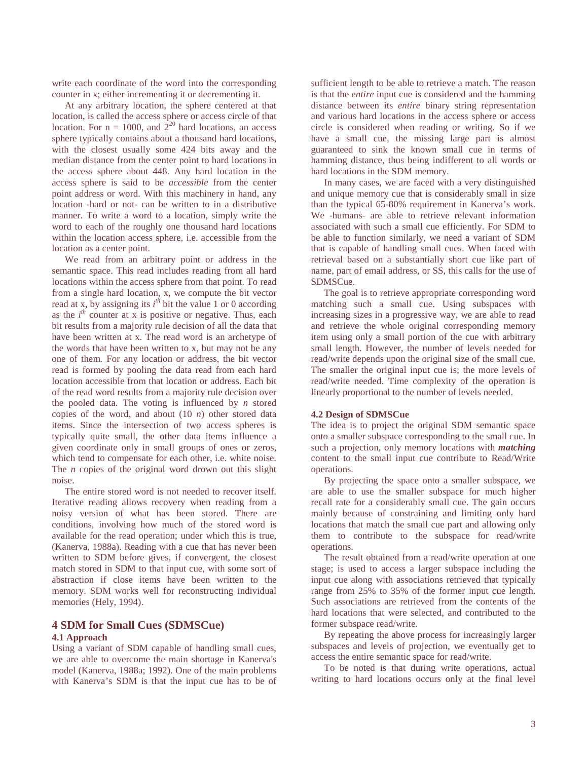write each coordinate of the word into the corresponding counter in x; either incrementing it or decrementing it.

At any arbitrary location, the sphere centered at that location, is called the access sphere or access circle of that location. For  $n = 1000$ , and  $2^{20}$  hard locations, an access sphere typically contains about a thousand hard locations, with the closest usually some 424 bits away and the median distance from the center point to hard locations in the access sphere about 448. Any hard location in the access sphere is said to be *accessible* from the center point address or word. With this machinery in hand, any location -hard or not- can be written to in a distributive manner. To write a word to a location, simply write the word to each of the roughly one thousand hard locations within the location access sphere, i.e. accessible from the location as a center point.

We read from an arbitrary point or address in the semantic space. This read includes reading from all hard locations within the access sphere from that point. To read from a single hard location, x, we compute the bit vector read at x, by assigning its  $i<sup>th</sup>$  bit the value 1 or 0 according as the  $i<sup>th</sup>$  counter at x is positive or negative. Thus, each bit results from a majority rule decision of all the data that have been written at x. The read word is an archetype of the words that have been written to x, but may not be any one of them. For any location or address, the bit vector read is formed by pooling the data read from each hard location accessible from that location or address. Each bit of the read word results from a majority rule decision over the pooled data. The voting is influenced by *n* stored copies of the word, and about (10 *n*) other stored data items. Since the intersection of two access spheres is typically quite small, the other data items influence a given coordinate only in small groups of ones or zeros, which tend to compensate for each other, i.e. white noise. The *n* copies of the original word drown out this slight noise.

The entire stored word is not needed to recover itself. Iterative reading allows recovery when reading from a noisy version of what has been stored. There are conditions, involving how much of the stored word is available for the read operation; under which this is true, (Kanerva, 1988a). Reading with a cue that has never been written to SDM before gives, if convergent, the closest match stored in SDM to that input cue, with some sort of abstraction if close items have been written to the memory. SDM works well for reconstructing individual memories (Hely, 1994).

#### **4 SDM for Small Cues (SDMSCue) 4.1 Approach**

Using a variant of SDM capable of handling small cues, we are able to overcome the main shortage in Kanerva's model (Kanerva, 1988a; 1992). One of the main problems with Kanerva's SDM is that the input cue has to be of sufficient length to be able to retrieve a match. The reason is that the *entire* input cue is considered and the hamming distance between its *entire* binary string representation and various hard locations in the access sphere or access circle is considered when reading or writing. So if we have a small cue, the missing large part is almost guaranteed to sink the known small cue in terms of hamming distance, thus being indifferent to all words or hard locations in the SDM memory.

In many cases, we are faced with a very distinguished and unique memory cue that is considerably small in size than the typical 65-80% requirement in Kanerva's work. We -humans- are able to retrieve relevant information associated with such a small cue efficiently. For SDM to be able to function similarly, we need a variant of SDM that is capable of handling small cues. When faced with retrieval based on a substantially short cue like part of name, part of email address, or SS, this calls for the use of SDMSCue.

The goal is to retrieve appropriate corresponding word matching such a small cue. Using subspaces with increasing sizes in a progressive way, we are able to read and retrieve the whole original corresponding memory item using only a small portion of the cue with arbitrary small length. However, the number of levels needed for read/write depends upon the original size of the small cue. The smaller the original input cue is; the more levels of read/write needed. Time complexity of the operation is linearly proportional to the number of levels needed.

#### **4.2 Design of SDMSCue**

The idea is to project the original SDM semantic space onto a smaller subspace corresponding to the small cue. In such a projection, only memory locations with *matching* content to the small input cue contribute to Read/Write operations.

By projecting the space onto a smaller subspace, we are able to use the smaller subspace for much higher recall rate for a considerably small cue. The gain occurs mainly because of constraining and limiting only hard locations that match the small cue part and allowing only them to contribute to the subspace for read/write operations.

The result obtained from a read/write operation at one stage; is used to access a larger subspace including the input cue along with associations retrieved that typically range from 25% to 35% of the former input cue length. Such associations are retrieved from the contents of the hard locations that were selected, and contributed to the former subspace read/write.

By repeating the above process for increasingly larger subspaces and levels of projection, we eventually get to access the entire semantic space for read/write.

To be noted is that during write operations, actual writing to hard locations occurs only at the final level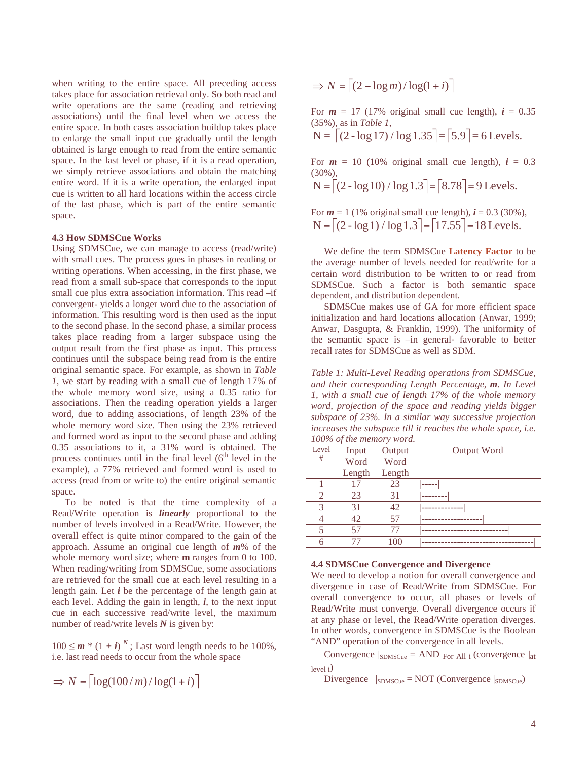when writing to the entire space. All preceding access takes place for association retrieval only. So both read and write operations are the same (reading and retrieving associations) until the final level when we access the entire space. In both cases association buildup takes place to enlarge the small input cue gradually until the length obtained is large enough to read from the entire semantic space. In the last level or phase, if it is a read operation, we simply retrieve associations and obtain the matching entire word. If it is a write operation, the enlarged input cue is written to all hard locations within the access circle of the last phase, which is part of the entire semantic space.

#### **4.3 How SDMSCue Works**

Using SDMSCue, we can manage to access (read/write) with small cues. The process goes in phases in reading or writing operations. When accessing, in the first phase, we read from a small sub-space that corresponds to the input small cue plus extra association information. This read –if convergent- yields a longer word due to the association of information. This resulting word is then used as the input to the second phase. In the second phase, a similar process takes place reading from a larger subspace using the output result from the first phase as input. This process continues until the subspace being read from is the entire original semantic space. For example, as shown in *Table 1*, we start by reading with a small cue of length 17% of the whole memory word size, using a 0.35 ratio for associations. Then the reading operation yields a larger word, due to adding associations, of length 23% of the whole memory word size. Then using the 23% retrieved and formed word as input to the second phase and adding 0.35 associations to it, a 31% word is obtained. The process continues until in the final level  $(6<sup>th</sup>$  level in the example), a 77% retrieved and formed word is used to access (read from or write to) the entire original semantic space.

To be noted is that the time complexity of a Read/Write operation is *linearly* proportional to the number of levels involved in a Read/Write. However, the overall effect is quite minor compared to the gain of the approach. Assume an original cue length of *m*% of the whole memory word size; where **m** ranges from 0 to 100. When reading/writing from SDMSCue, some associations are retrieved for the small cue at each level resulting in a length gain. Let *i* be the percentage of the length gain at each level. Adding the gain in length, *i*, to the next input cue in each successive read/write level, the maximum number of read/write levels *N* is given by:

 $100 \leq m * (1 + i)^{N}$ ; Last word length needs to be 100%, i.e. last read needs to occur from the whole space

$$
\Rightarrow N = \lceil \log(100/m)/\log(1+i) \rceil
$$

$$
\Rightarrow N = \left\lceil \frac{(2 - \log m)}{\log(1 + i)} \right\rceil
$$

For  $m = 17$  (17% original small cue length),  $i = 0.35$ (35%), as in *Table 1*,  $N = \lfloor (2 - \log 17) / \log 1.35 \rfloor = \lfloor 5.9 \rfloor = 6$  Levels.

For  $m = 10$  (10% original small cue length),  $i = 0.3$ (30%),  $N = \lfloor (2 - \log 10) / \log 1.3 \rfloor = \lfloor 8.78 \rfloor = 9$  Levels.

For  $m = 1$  (1% original small cue length),  $i = 0.3$  (30%),  $N = | (2 - log 1) / log 1.3 | = | 17.55 | = 18$  Levels.

We define the term SDMSCue **Latency Factor** to be the average number of levels needed for read/write for a certain word distribution to be written to or read from SDMSCue. Such a factor is both semantic space dependent, and distribution dependent.

SDMSCue makes use of GA for more efficient space initialization and hard locations allocation (Anwar, 1999; Anwar, Dasgupta, & Franklin, 1999). The uniformity of the semantic space is –in general- favorable to better recall rates for SDMSCue as well as SDM.

*Table 1: Multi-Level Reading operations from SDMSCue, and their corresponding Length Percentage, m. In Level 1, with a small cue of length 17% of the whole memory word, projection of the space and reading yields bigger subspace of 23%. In a similar way successive projection increases the subspace till it reaches the whole space, i.e. 100% of the memory word.* 

| Level | Input  | Output | Output Word |  |
|-------|--------|--------|-------------|--|
| #     | Word   | Word   |             |  |
|       | Length | Length |             |  |
|       | 17     | 23     |             |  |
| 2     | 23     | 31     |             |  |
| 3     | 31     | 42     |             |  |
|       | 42     | 57     |             |  |
|       | 57     | 77     |             |  |
| 6     | 77     | 100    |             |  |

#### **4.4 SDMSCue Convergence and Divergence**

We need to develop a notion for overall convergence and divergence in case of Read/Write from SDMSCue. For overall convergence to occur, all phases or levels of Read/Write must converge. Overall divergence occurs if at any phase or level, the Read/Write operation diverges. In other words, convergence in SDMSCue is the Boolean "AND" operation of the convergence in all levels.

Convergence  $|_{SDMSCue}$  = AND  $_{For All i}$  (convergence  $|_{at}$ ) level i)

 $Divergence$   $|_{SDMSCue} = NOT (Convergence |_{SDMSCue})$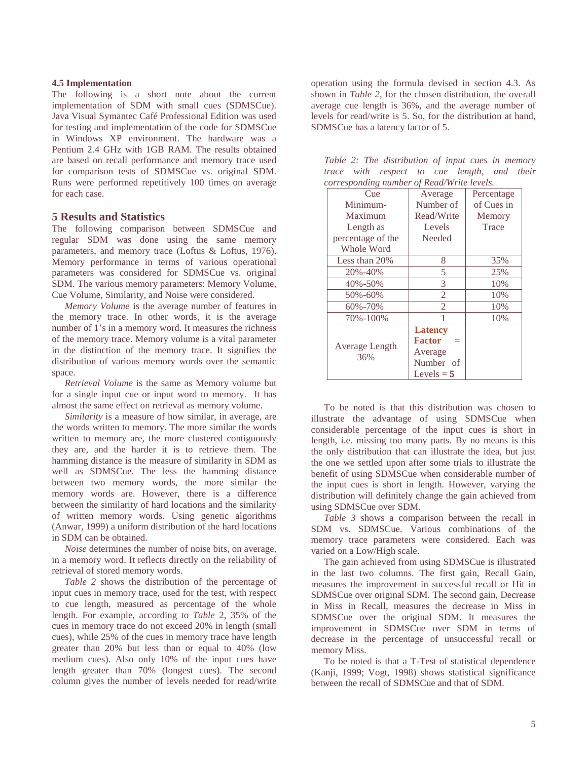#### **4.5 Implementation**

The following is a short note about the current implementation of SDM with small cues (SDMSCue). Java Visual Symantec Café Professional Edition was used for testing and implementation of the code for SDMSCue in Windows XP environment. The hardware was a Pentium 2.4 GHz with 1GB RAM. The results obtained are based on recall performance and memory trace used for comparison tests of SDMSCue vs. original SDM. Runs were performed repetitively 100 times on average for each case.

### **5 Results and Statistics**

The following comparison between SDMSCue and regular SDM was done using the same memory parameters, and memory trace (Loftus & Loftus, 1976). Memory performance in terms of various operational parameters was considered for SDMSCue vs. original SDM. The various memory parameters: Memory Volume, Cue Volume, Similarity, and Noise were considered.

*Memory Volume* is the average number of features in the memory trace. In other words, it is the average number of 1's in a memory word. It measures the richness of the memory trace. Memory volume is a vital parameter in the distinction of the memory trace. It signifies the distribution of various memory words over the semantic space.

*Retrieval Volume* is the same as Memory volume but for a single input cue or input word to memory. It has almost the same effect on retrieval as memory volume.

*Similarity* is a measure of how similar, in average, are the words written to memory. The more similar the words written to memory are, the more clustered contiguously they are, and the harder it is to retrieve them. The hamming distance is the measure of similarity in SDM as well as SDMSCue. The less the hamming distance between two memory words, the more similar the memory words are. However, there is a difference between the similarity of hard locations and the similarity of written memory words. Using genetic algorithms (Anwar, 1999) a uniform distribution of the hard locations in SDM can be obtained.

*Noise* determines the number of noise bits, on average, in a memory word. It reflects directly on the reliability of retrieval of stored memory words.

*Table 2* shows the distribution of the percentage of input cues in memory trace, used for the test, with respect to cue length, measured as percentage of the whole length. For example, according to *Table* 2, 35% of the cues in memory trace do not exceed 20% in length (small cues), while 25% of the cues in memory trace have length greater than 20% but less than or equal to 40% (low medium cues). Also only 10% of the input cues have length greater than 70% (longest cues). The second column gives the number of levels needed for read/write operation using the formula devised in section 4.3. As shown in *Table 2*, for the chosen distribution, the overall average cue length is 36%, and the average number of levels for read/write is 5. So, for the distribution at hand, SDMSCue has a latency factor of 5.

| $\epsilon$ $\epsilon$ |                      |            |  |  |  |  |  |  |
|-----------------------|----------------------|------------|--|--|--|--|--|--|
| Cue                   | Average              | Percentage |  |  |  |  |  |  |
| Minimum-              | Number of            | of Cues in |  |  |  |  |  |  |
| Maximum               | Read/Write           | Memory     |  |  |  |  |  |  |
| Length as             | Levels               | Trace      |  |  |  |  |  |  |
| percentage of the     | Needed               |            |  |  |  |  |  |  |
| Whole Word            |                      |            |  |  |  |  |  |  |
| Less than 20%         | 8                    | 35%        |  |  |  |  |  |  |
| 20%-40%               | 5                    | 25%        |  |  |  |  |  |  |
| 40%-50%               | 3                    | 10%        |  |  |  |  |  |  |
| 50%-60%               | $\overline{2}$       | 10%        |  |  |  |  |  |  |
| 60%-70%               | $\overline{2}$       | 10%        |  |  |  |  |  |  |
| 70%-100%              | 1                    | 10%        |  |  |  |  |  |  |
|                       | <b>Latency</b>       |            |  |  |  |  |  |  |
|                       | <b>Factor</b><br>$=$ |            |  |  |  |  |  |  |
| Average Length<br>36% | Average              |            |  |  |  |  |  |  |
|                       | Number of            |            |  |  |  |  |  |  |
|                       | Levels $= 5$         |            |  |  |  |  |  |  |

*Table 2: The distribution of input cues in memory trace with respect to cue length, and their corresponding number of Read/Write levels.*

To be noted is that this distribution was chosen to illustrate the advantage of using SDMSCue when considerable percentage of the input cues is short in length, i.e. missing too many parts. By no means is this the only distribution that can illustrate the idea, but just the one we settled upon after some trials to illustrate the benefit of using SDMSCue when considerable number of the input cues is short in length. However, varying the distribution will definitely change the gain achieved from using SDMSCue over SDM.

*Table 3* shows a comparison between the recall in SDM vs. SDMSCue. Various combinations of the memory trace parameters were considered. Each was varied on a Low/High scale.

The gain achieved from using SDMSCue is illustrated in the last two columns. The first gain, Recall Gain, measures the improvement in successful recall or Hit in SDMSCue over original SDM. The second gain, Decrease in Miss in Recall, measures the decrease in Miss in SDMSCue over the original SDM. It measures the improvement in SDMSCue over SDM in terms of decrease in the percentage of unsuccessful recall or memory Miss.

To be noted is that a T-Test of statistical dependence (Kanji, 1999; Vogt, 1998) shows statistical significance between the recall of SDMSCue and that of SDM.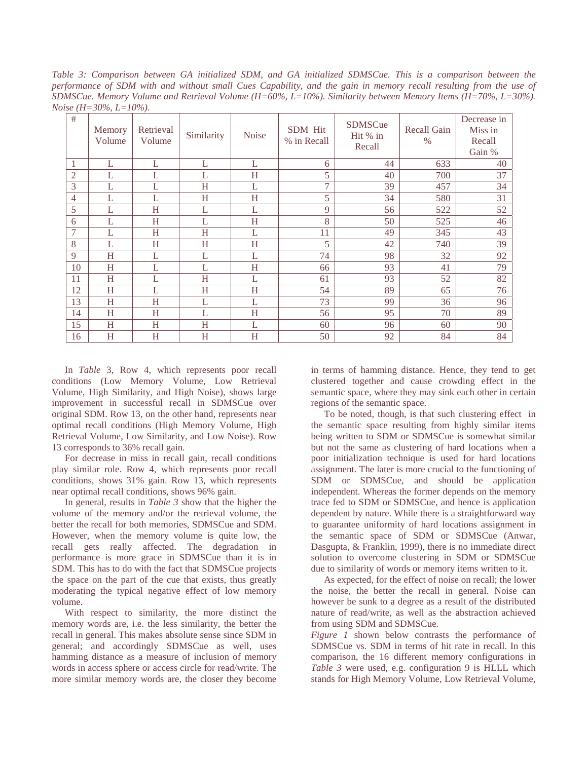*Table 3: Comparison between GA initialized SDM, and GA initialized SDMSCue. This is a comparison between the performance of SDM with and without small Cues Capability, and the gain in memory recall resulting from the use of SDMSCue. Memory Volume and Retrieval Volume (H=60%, L=10%). Similarity between Memory Items (H=70%, L=30%). Noise (H=30%, L=10%).* 

| #              | Memory<br>Volume | Retrieval<br>Volume | Similarity | <b>Noise</b> | <b>SDM</b> Hit<br>% in Recall | <b>SDMSCue</b><br>Hit % in<br>Recall | Recall Gain<br>$\%$ | Decrease in<br>Miss in<br>Recall<br>Gain % |
|----------------|------------------|---------------------|------------|--------------|-------------------------------|--------------------------------------|---------------------|--------------------------------------------|
|                | L                | L                   | L          | L            | 6                             | 44                                   | 633                 | 40                                         |
| $\overline{2}$ | L                | L                   | L          | H            | 5                             | 40                                   | 700                 | 37                                         |
| 3              | L                | L                   | H          | L            | $\overline{7}$                | 39                                   | 457                 | 34                                         |
| $\overline{4}$ | L                | L                   | H          | H            | 5                             | 34                                   | 580                 | 31                                         |
| 5              | L                | H                   | L          | L            | 9                             | 56                                   | 522                 | 52                                         |
| 6              | L                | H                   |            | H            | 8                             | 50                                   | 525                 | 46                                         |
| $\overline{7}$ | L                | H                   | H          | L            | 11                            | 49                                   | 345                 | 43                                         |
| 8              | L                | H                   | H          | H            | 5                             | 42                                   | 740                 | 39                                         |
| 9              | Н                | L                   | L          | L            | 74                            | 98                                   | 32                  | 92                                         |
| 10             | H                | L                   | L          | H            | 66                            | 93                                   | 41                  | 79                                         |
| 11             | H                | L                   | H          | L            | 61                            | 93                                   | 52                  | 82                                         |
| 12             | H                | L                   | H          | H            | 54                            | 89                                   | 65                  | 76                                         |
| 13             | H                | H                   | L          | L            | 73                            | 99                                   | 36                  | 96                                         |
| 14             | H                | H                   | L          | H            | 56                            | 95                                   | 70                  | 89                                         |
| 15             | Η                | H                   | H          |              | 60                            | 96                                   | 60                  | 90                                         |
| 16             | H                | H                   | H          | H            | 50                            | 92                                   | 84                  | 84                                         |

In *Table* 3, Row 4, which represents poor recall conditions (Low Memory Volume, Low Retrieval Volume, High Similarity, and High Noise), shows large improvement in successful recall in SDMSCue over original SDM. Row 13, on the other hand, represents near optimal recall conditions (High Memory Volume, High Retrieval Volume, Low Similarity, and Low Noise). Row 13 corresponds to 36% recall gain.

For decrease in miss in recall gain, recall conditions play similar role. Row 4, which represents poor recall conditions, shows 31% gain. Row 13, which represents near optimal recall conditions, shows 96% gain.

In general, results in *Table 3* show that the higher the volume of the memory and/or the retrieval volume, the better the recall for both memories, SDMSCue and SDM. However, when the memory volume is quite low, the recall gets really affected. The degradation in performance is more grace in SDMSCue than it is in SDM. This has to do with the fact that SDMSCue projects the space on the part of the cue that exists, thus greatly moderating the typical negative effect of low memory volume.

With respect to similarity, the more distinct the memory words are, i.e. the less similarity, the better the recall in general. This makes absolute sense since SDM in general; and accordingly SDMSCue as well, uses hamming distance as a measure of inclusion of memory words in access sphere or access circle for read/write. The more similar memory words are, the closer they become

in terms of hamming distance. Hence, they tend to get clustered together and cause crowding effect in the semantic space, where they may sink each other in certain regions of the semantic space.

To be noted, though, is that such clustering effect in the semantic space resulting from highly similar items being written to SDM or SDMSCue is somewhat similar but not the same as clustering of hard locations when a poor initialization technique is used for hard locations assignment. The later is more crucial to the functioning of SDM or SDMSCue, and should be application independent. Whereas the former depends on the memory trace fed to SDM or SDMSCue, and hence is application dependent by nature. While there is a straightforward way to guarantee uniformity of hard locations assignment in the semantic space of SDM or SDMSCue (Anwar, Dasgupta, & Franklin, 1999), there is no immediate direct solution to overcome clustering in SDM or SDMSCue due to similarity of words or memory items written to it.

As expected, for the effect of noise on recall; the lower the noise, the better the recall in general. Noise can however be sunk to a degree as a result of the distributed nature of read/write, as well as the abstraction achieved from using SDM and SDMSCue.

*Figure 1* shown below contrasts the performance of SDMSCue vs. SDM in terms of hit rate in recall. In this comparison, the 16 different memory configurations in *Table 3* were used, e.g. configuration 9 is HLLL which stands for High Memory Volume, Low Retrieval Volume,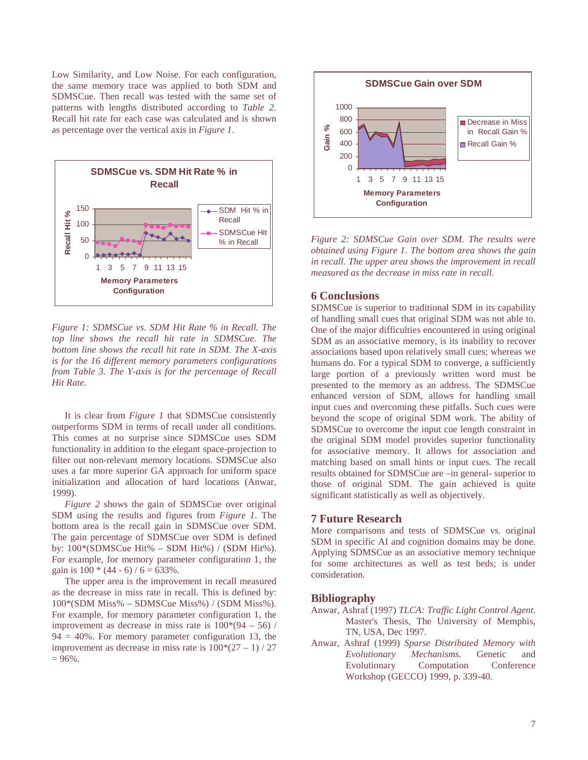Low Similarity, and Low Noise. For each configuration, the same memory trace was applied to both SDM and SDMSCue. Then recall was tested with the same set of patterns with lengths distributed according to *Table 2*. Recall hit rate for each case was calculated and is shown as percentage over the vertical axis in *Figure 1*.



*Figure 1: SDMSCue vs. SDM Hit Rate % in Recall. The top line shows the recall hit rate in SDMSCue. The bottom line shows the recall hit rate in SDM. The X-axis is for the 16 different memory parameters configurations from Table 3. The Y-axis is for the percentage of Recall Hit Rate.* 

It is clear from *Figure 1* that SDMSCue consistently outperforms SDM in terms of recall under all conditions. This comes at no surprise since SDMSCue uses SDM functionality in addition to the elegant space-projection to filter out non-relevant memory locations. SDMSCue also uses a far more superior GA approach for uniform space initialization and allocation of hard locations (Anwar, 1999).

*Figure 2* shows the gain of SDMSCue over original SDM using the results and figures from *Figure 1*. The bottom area is the recall gain in SDMSCue over SDM. The gain percentage of SDMSCue over SDM is defined by: 100\*(SDMSCue Hit% – SDM Hit%) / (SDM Hit%). For example, for memory parameter configuration 1, the gain is  $100 * (44 - 6) / 6 = 633\%$ .

The upper area is the improvement in recall measured as the decrease in miss rate in recall. This is defined by: 100\*(SDM Miss% – SDMSCue Miss%) / (SDM Miss%). For example, for memory parameter configuration 1, the improvement as decrease in miss rate is  $100*(94 - 56)$  /  $94 = 40\%$ . For memory parameter configuration 13, the improvement as decrease in miss rate is  $100*(27 - 1) / 27$  $= 96\%$ .



*Figure 2: SDMSCue Gain over SDM. The results were obtained using Figure 1. The bottom area shows the gain in recall. The upper area shows the improvement in recall measured as the decrease in miss rate in recall.* 

## **6 Conclusions**

SDMSCue is superior to traditional SDM in its capability of handling small cues that original SDM was not able to. One of the major difficulties encountered in using original SDM as an associative memory, is its inability to recover associations based upon relatively small cues; whereas we humans do. For a typical SDM to converge, a sufficiently large portion of a previously written word must be presented to the memory as an address. The SDMSCue enhanced version of SDM, allows for handling small input cues and overcoming these pitfalls. Such cues were beyond the scope of original SDM work. The ability of SDMSCue to overcome the input cue length constraint in the original SDM model provides superior functionality for associative memory. It allows for association and matching based on small hints or input cues. The recall results obtained for SDMSCue are –in general- superior to those of original SDM. The gain achieved is quite significant statistically as well as objectively.

#### **7 Future Research**

More comparisons and tests of SDMSCue vs. original SDM in specific AI and cognition domains may be done. Applying SDMSCue as an associative memory technique for some architectures as well as test beds; is under consideration.

#### **Bibliography**

- Anwar, Ashraf (1997) *TLCA: Traffic Light Control Agent.* Master's Thesis, The University of Memphis, TN, USA, Dec 1997.
- Anwar, Ashraf (1999) *Sparse Distributed Memory with Evolutionary Mechanisms.* Genetic and Evolutionary Computation Conference Workshop (GECCO) 1999, p. 339-40.